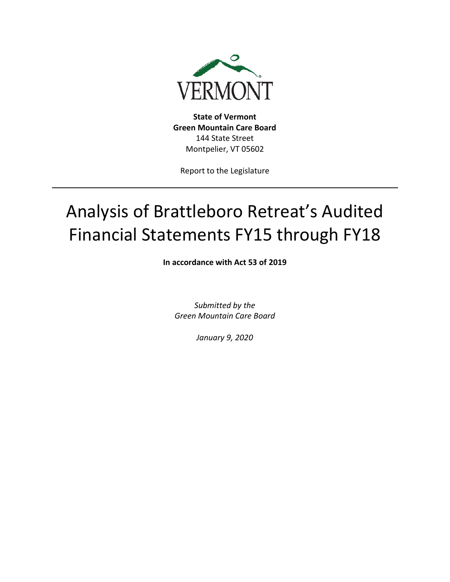

**State of Vermont Green Mountain Care Board**  144 State Street Montpelier, VT 05602

Report to the Legislature

# Analysis of Brattleboro Retreat's Audited Financial Statements FY15 through FY18

**In accordance with Act 53 of 2019**

*Submitted by the Green Mountain Care Board* 

*January 9, 2020*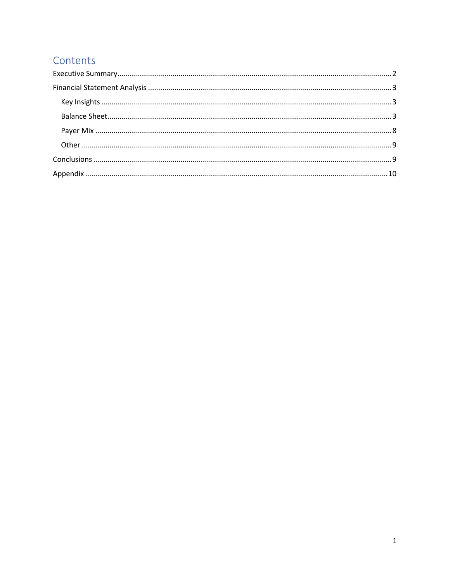## Contents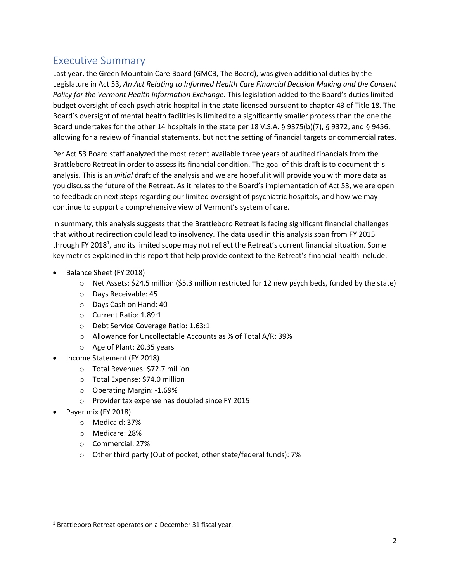## <span id="page-2-0"></span>Executive Summary

Last year, the Green Mountain Care Board (GMCB, The Board), was given additional duties by the Legislature in Act 53, *An Act Relating to Informed Health Care Financial Decision Making and the Consent Policy for the Vermont Health Information Exchange.* This legislation added to the Board's duties limited budget oversight of each psychiatric hospital in the state licensed pursuant to chapter 43 of Title 18. The Board's oversight of mental health facilities is limited to a significantly smaller process than the one the Board undertakes for the other 14 hospitals in the state per 18 V.S.A. § 9375(b)(7), § 9372, and § 9456, allowing for a review of financial statements, but not the setting of financial targets or commercial rates.

Per Act 53 Board staff analyzed the most recent available three years of audited financials from the Brattleboro Retreat in order to assess its financial condition. The goal of this draft is to document this analysis. This is an *initial* draft of the analysis and we are hopeful it will provide you with more data as you discuss the future of the Retreat. As it relates to the Board's implementation of Act 53, we are open to feedback on next steps regarding our limited oversight of psychiatric hospitals, and how we may continue to support a comprehensive view of Vermont's system of care.

In summary, this analysis suggests that the Brattleboro Retreat is facing significant financial challenges that without redirection could lead to insolvency. The data used in this analysis span from FY 2015 through FY 2018<sup>1</sup>, and its limited scope may not reflect the Retreat's current financial situation. Some key metrics explained in this report that help provide context to the Retreat's financial health include:

- Balance Sheet (FY 2018)
	- $\circ$  Net Assets: \$24.5 million (\$5.3 million restricted for 12 new psych beds, funded by the state)
	- o Days Receivable: 45
	- o Days Cash on Hand: 40
	- o Current Ratio: 1.89:1
	- o Debt Service Coverage Ratio: 1.63:1
	- o Allowance for Uncollectable Accounts as % of Total A/R: 39%
	- o Age of Plant: 20.35 years
- Income Statement (FY 2018)
	- o Total Revenues: \$72.7 million
	- o Total Expense: \$74.0 million
	- o Operating Margin: -1.69%
	- o Provider tax expense has doubled since FY 2015
- Payer mix (FY 2018)
	- o Medicaid: 37%
	- o Medicare: 28%
	- o Commercial: 27%
	- o Other third party (Out of pocket, other state/federal funds): 7%

<sup>1</sup> Brattleboro Retreat operates on a December 31 fiscal year.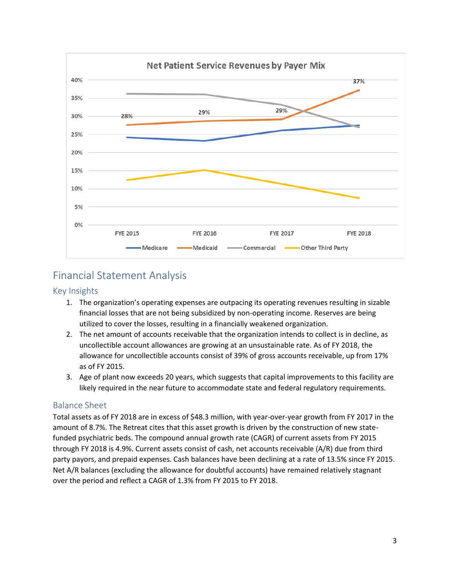

## <span id="page-3-0"></span>Financial Statement Analysis

#### <span id="page-3-1"></span>Key Insights

- 1. The organization's operating expenses are outpacing its operating revenues resulting in sizable financial losses that are not being subsidized by non-operating income. Reserves are being utilized to cover the losses, resulting in a financially weakened organization.
- 2. The net amount of accounts receivable that the organization intends to collect is in decline, as uncollectible account allowances are growing at an unsustainable rate. As of FY 2018, the allowance for uncollectible accounts consist of 39% of gross accounts receivable, up from 17% as of FY 2015.
- 3. Age of plant now exceeds 20 years, which suggests that capital improvements to this facility are likely required in the near future to accommodate state and federal regulatory requirements.

#### <span id="page-3-2"></span>Balance Sheet

Total assets as of FY 2018 are in excess of \$48.3 million, with year-over-year growth from FY 2017 in the amount of 8.7%. The Retreat cites that this asset growth is driven by the construction of new statefunded psychiatric beds. The compound annual growth rate (CAGR) of current assets from FY 2015 through FY 2018 is 4.9%. Current assets consist of cash, net accounts receivable (A/R) due from third party payors, and prepaid expenses. Cash balances have been declining at a rate of 13.5% since FY 2015. Net A/R balances (excluding the allowance for doubtful accounts) have remained relatively stagnant over the period and reflect a CAGR of 1.3% from FY 2015 to FY 2018.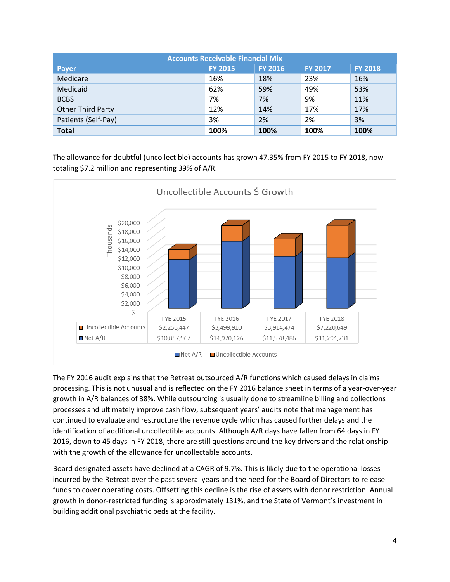| <b>Accounts Receivable Financial Mix</b> |                |                |                |                |  |  |  |  |  |  |  |
|------------------------------------------|----------------|----------------|----------------|----------------|--|--|--|--|--|--|--|
| <b>Payer</b>                             | <b>FY 2015</b> | <b>FY 2016</b> | <b>FY 2017</b> | <b>FY 2018</b> |  |  |  |  |  |  |  |
| Medicare                                 | 16%            | 18%            | 23%            | 16%            |  |  |  |  |  |  |  |
| Medicaid                                 | 62%            | 59%            | 49%            | 53%            |  |  |  |  |  |  |  |
| <b>BCBS</b>                              | 7%             | 7%             | 9%             | 11%            |  |  |  |  |  |  |  |
| <b>Other Third Party</b>                 | 12%            | 14%            | 17%            | 17%            |  |  |  |  |  |  |  |
| Patients (Self-Pay)                      | 3%             | 2%             | 2%             | 3%             |  |  |  |  |  |  |  |
| <b>Total</b>                             | 100%           | 100%           | 100%           | 100%           |  |  |  |  |  |  |  |

The allowance for doubtful (uncollectible) accounts has grown 47.35% from FY 2015 to FY 2018, now totaling \$7.2 million and representing 39% of A/R.



The FY 2016 audit explains that the Retreat outsourced A/R functions which caused delays in claims processing. This is not unusual and is reflected on the FY 2016 balance sheet in terms of a year-over-year growth in A/R balances of 38%. While outsourcing is usually done to streamline billing and collections processes and ultimately improve cash flow, subsequent years' audits note that management has continued to evaluate and restructure the revenue cycle which has caused further delays and the identification of additional uncollectible accounts. Although A/R days have fallen from 64 days in FY 2016, down to 45 days in FY 2018, there are still questions around the key drivers and the relationship with the growth of the allowance for uncollectable accounts.

Board designated assets have declined at a CAGR of 9.7%. This is likely due to the operational losses incurred by the Retreat over the past several years and the need for the Board of Directors to release funds to cover operating costs. Offsetting this decline is the rise of assets with donor restriction. Annual growth in donor-restricted funding is approximately 131%, and the State of Vermont's investment in building additional psychiatric beds at the facility.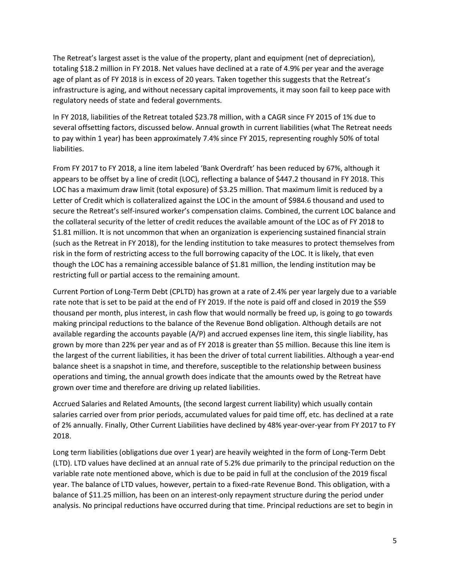The Retreat's largest asset is the value of the property, plant and equipment (net of depreciation), totaling \$18.2 million in FY 2018. Net values have declined at a rate of 4.9% per year and the average age of plant as of FY 2018 is in excess of 20 years. Taken together this suggests that the Retreat's infrastructure is aging, and without necessary capital improvements, it may soon fail to keep pace with regulatory needs of state and federal governments.

In FY 2018, liabilities of the Retreat totaled \$23.78 million, with a CAGR since FY 2015 of 1% due to several offsetting factors, discussed below. Annual growth in current liabilities (what The Retreat needs to pay within 1 year) has been approximately 7.4% since FY 2015, representing roughly 50% of total liabilities.

From FY 2017 to FY 2018, a line item labeled 'Bank Overdraft' has been reduced by 67%, although it appears to be offset by a line of credit (LOC), reflecting a balance of \$447.2 thousand in FY 2018. This LOC has a maximum draw limit (total exposure) of \$3.25 million. That maximum limit is reduced by a Letter of Credit which is collateralized against the LOC in the amount of \$984.6 thousand and used to secure the Retreat's self-insured worker's compensation claims. Combined, the current LOC balance and the collateral security of the letter of credit reduces the available amount of the LOC as of FY 2018 to \$1.81 million. It is not uncommon that when an organization is experiencing sustained financial strain (such as the Retreat in FY 2018), for the lending institution to take measures to protect themselves from risk in the form of restricting access to the full borrowing capacity of the LOC. It is likely, that even though the LOC has a remaining accessible balance of \$1.81 million, the lending institution may be restricting full or partial access to the remaining amount.

Current Portion of Long-Term Debt (CPLTD) has grown at a rate of 2.4% per year largely due to a variable rate note that is set to be paid at the end of FY 2019. If the note is paid off and closed in 2019 the \$59 thousand per month, plus interest, in cash flow that would normally be freed up, is going to go towards making principal reductions to the balance of the Revenue Bond obligation. Although details are not available regarding the accounts payable (A/P) and accrued expenses line item, this single liability, has grown by more than 22% per year and as of FY 2018 is greater than \$5 million. Because this line item is the largest of the current liabilities, it has been the driver of total current liabilities. Although a year-end balance sheet is a snapshot in time, and therefore, susceptible to the relationship between business operations and timing, the annual growth does indicate that the amounts owed by the Retreat have grown over time and therefore are driving up related liabilities.

Accrued Salaries and Related Amounts, (the second largest current liability) which usually contain salaries carried over from prior periods, accumulated values for paid time off, etc. has declined at a rate of 2% annually. Finally, Other Current Liabilities have declined by 48% year-over-year from FY 2017 to FY 2018.

Long term liabilities (obligations due over 1 year) are heavily weighted in the form of Long-Term Debt (LTD). LTD values have declined at an annual rate of 5.2% due primarily to the principal reduction on the variable rate note mentioned above, which is due to be paid in full at the conclusion of the 2019 fiscal year. The balance of LTD values, however, pertain to a fixed-rate Revenue Bond. This obligation, with a balance of \$11.25 million, has been on an interest-only repayment structure during the period under analysis. No principal reductions have occurred during that time. Principal reductions are set to begin in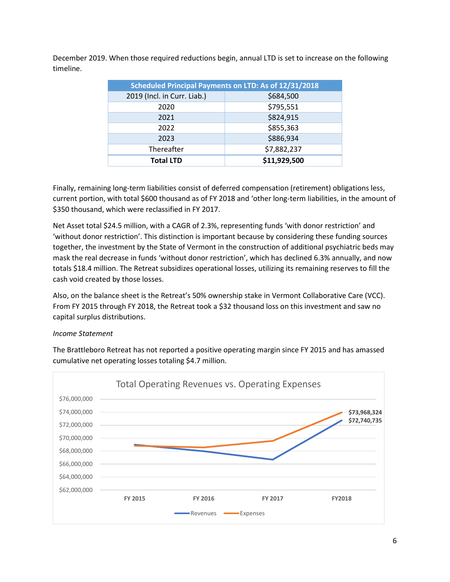December 2019. When those required reductions begin, annual LTD is set to increase on the following timeline.

| <b>Scheduled Principal Payments on LTD: As of 12/31/2018</b> |              |  |  |  |  |  |  |  |  |  |  |
|--------------------------------------------------------------|--------------|--|--|--|--|--|--|--|--|--|--|
| 2019 (Incl. in Curr. Liab.)                                  | \$684,500    |  |  |  |  |  |  |  |  |  |  |
| 2020                                                         | \$795,551    |  |  |  |  |  |  |  |  |  |  |
| 2021                                                         | \$824,915    |  |  |  |  |  |  |  |  |  |  |
| 2022                                                         | \$855,363    |  |  |  |  |  |  |  |  |  |  |
| 2023                                                         | \$886,934    |  |  |  |  |  |  |  |  |  |  |
| Thereafter                                                   | \$7,882,237  |  |  |  |  |  |  |  |  |  |  |
| <b>Total LTD</b>                                             | \$11,929,500 |  |  |  |  |  |  |  |  |  |  |

Finally, remaining long-term liabilities consist of deferred compensation (retirement) obligations less, current portion, with total \$600 thousand as of FY 2018 and 'other long-term liabilities, in the amount of \$350 thousand, which were reclassified in FY 2017.

Net Asset total \$24.5 million, with a CAGR of 2.3%, representing funds 'with donor restriction' and 'without donor restriction'. This distinction is important because by considering these funding sources together, the investment by the State of Vermont in the construction of additional psychiatric beds may mask the real decrease in funds 'without donor restriction', which has declined 6.3% annually, and now totals \$18.4 million. The Retreat subsidizes operational losses, utilizing its remaining reserves to fill the cash void created by those losses.

Also, on the balance sheet is the Retreat's 50% ownership stake in Vermont Collaborative Care (VCC). From FY 2015 through FY 2018, the Retreat took a \$32 thousand loss on this investment and saw no capital surplus distributions.

#### *Income Statement*



The Brattleboro Retreat has not reported a positive operating margin since FY 2015 and has amassed cumulative net operating losses totaling \$4.7 million.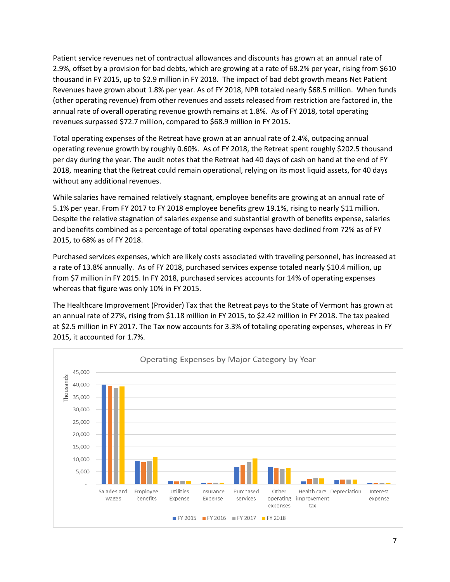Patient service revenues net of contractual allowances and discounts has grown at an annual rate of 2.9%, offset by a provision for bad debts, which are growing at a rate of 68.2% per year, rising from \$610 thousand in FY 2015, up to \$2.9 million in FY 2018. The impact of bad debt growth means Net Patient Revenues have grown about 1.8% per year. As of FY 2018, NPR totaled nearly \$68.5 million. When funds (other operating revenue) from other revenues and assets released from restriction are factored in, the annual rate of overall operating revenue growth remains at 1.8%. As of FY 2018, total operating revenues surpassed \$72.7 million, compared to \$68.9 million in FY 2015.

Total operating expenses of the Retreat have grown at an annual rate of 2.4%, outpacing annual operating revenue growth by roughly 0.60%. As of FY 2018, the Retreat spent roughly \$202.5 thousand per day during the year. The audit notes that the Retreat had 40 days of cash on hand at the end of FY 2018, meaning that the Retreat could remain operational, relying on its most liquid assets, for 40 days without any additional revenues.

While salaries have remained relatively stagnant, employee benefits are growing at an annual rate of 5.1% per year. From FY 2017 to FY 2018 employee benefits grew 19.1%, rising to nearly \$11 million. Despite the relative stagnation of salaries expense and substantial growth of benefits expense, salaries and benefits combined as a percentage of total operating expenses have declined from 72% as of FY 2015, to 68% as of FY 2018.

Purchased services expenses, which are likely costs associated with traveling personnel, has increased at a rate of 13.8% annually. As of FY 2018, purchased services expense totaled nearly \$10.4 million, up from \$7 million in FY 2015. In FY 2018, purchased services accounts for 14% of operating expenses whereas that figure was only 10% in FY 2015.

The Healthcare Improvement (Provider) Tax that the Retreat pays to the State of Vermont has grown at an annual rate of 27%, rising from \$1.18 million in FY 2015, to \$2.42 million in FY 2018. The tax peaked at \$2.5 million in FY 2017. The Tax now accounts for 3.3% of totaling operating expenses, whereas in FY 2015, it accounted for 1.7%.

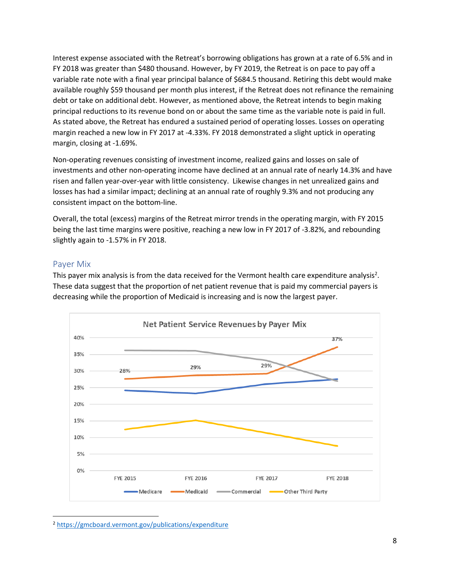Interest expense associated with the Retreat's borrowing obligations has grown at a rate of 6.5% and in FY 2018 was greater than \$480 thousand. However, by FY 2019, the Retreat is on pace to pay off a variable rate note with a final year principal balance of \$684.5 thousand. Retiring this debt would make available roughly \$59 thousand per month plus interest, if the Retreat does not refinance the remaining debt or take on additional debt. However, as mentioned above, the Retreat intends to begin making principal reductions to its revenue bond on or about the same time as the variable note is paid in full. As stated above, the Retreat has endured a sustained period of operating losses. Losses on operating margin reached a new low in FY 2017 at -4.33%. FY 2018 demonstrated a slight uptick in operating margin, closing at -1.69%.

Non-operating revenues consisting of investment income, realized gains and losses on sale of investments and other non-operating income have declined at an annual rate of nearly 14.3% and have risen and fallen year-over-year with little consistency. Likewise changes in net unrealized gains and losses has had a similar impact; declining at an annual rate of roughly 9.3% and not producing any consistent impact on the bottom-line.

Overall, the total (excess) margins of the Retreat mirror trends in the operating margin, with FY 2015 being the last time margins were positive, reaching a new low in FY 2017 of -3.82%, and rebounding slightly again to -1.57% in FY 2018.

#### <span id="page-8-0"></span>Payer Mix

This payer mix analysis is from the data received for the Vermont health care expenditure analysis<sup>2</sup>. These data suggest that the proportion of net patient revenue that is paid my commercial payers is decreasing while the proportion of Medicaid is increasing and is now the largest payer.



<sup>2</sup> <https://gmcboard.vermont.gov/publications/expenditure>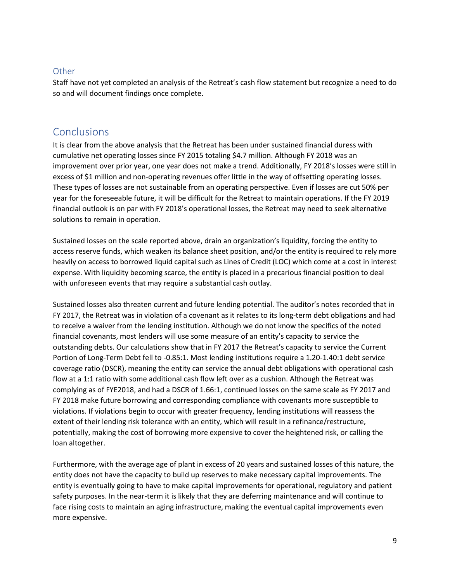#### <span id="page-9-0"></span>**Other**

Staff have not yet completed an analysis of the Retreat's cash flow statement but recognize a need to do so and will document findings once complete.

### <span id="page-9-1"></span>**Conclusions**

It is clear from the above analysis that the Retreat has been under sustained financial duress with cumulative net operating losses since FY 2015 totaling \$4.7 million. Although FY 2018 was an improvement over prior year, one year does not make a trend. Additionally, FY 2018's losses were still in excess of \$1 million and non-operating revenues offer little in the way of offsetting operating losses. These types of losses are not sustainable from an operating perspective. Even if losses are cut 50% per year for the foreseeable future, it will be difficult for the Retreat to maintain operations. If the FY 2019 financial outlook is on par with FY 2018's operational losses, the Retreat may need to seek alternative solutions to remain in operation.

Sustained losses on the scale reported above, drain an organization's liquidity, forcing the entity to access reserve funds, which weaken its balance sheet position, and/or the entity is required to rely more heavily on access to borrowed liquid capital such as Lines of Credit (LOC) which come at a cost in interest expense. With liquidity becoming scarce, the entity is placed in a precarious financial position to deal with unforeseen events that may require a substantial cash outlay.

Sustained losses also threaten current and future lending potential. The auditor's notes recorded that in FY 2017, the Retreat was in violation of a covenant as it relates to its long-term debt obligations and had to receive a waiver from the lending institution. Although we do not know the specifics of the noted financial covenants, most lenders will use some measure of an entity's capacity to service the outstanding debts. Our calculations show that in FY 2017 the Retreat's capacity to service the Current Portion of Long-Term Debt fell to -0.85:1. Most lending institutions require a 1.20-1.40:1 debt service coverage ratio (DSCR), meaning the entity can service the annual debt obligations with operational cash flow at a 1:1 ratio with some additional cash flow left over as a cushion. Although the Retreat was complying as of FYE2018, and had a DSCR of 1.66:1, continued losses on the same scale as FY 2017 and FY 2018 make future borrowing and corresponding compliance with covenants more susceptible to violations. If violations begin to occur with greater frequency, lending institutions will reassess the extent of their lending risk tolerance with an entity, which will result in a refinance/restructure, potentially, making the cost of borrowing more expensive to cover the heightened risk, or calling the loan altogether.

Furthermore, with the average age of plant in excess of 20 years and sustained losses of this nature, the entity does not have the capacity to build up reserves to make necessary capital improvements. The entity is eventually going to have to make capital improvements for operational, regulatory and patient safety purposes. In the near-term it is likely that they are deferring maintenance and will continue to face rising costs to maintain an aging infrastructure, making the eventual capital improvements even more expensive.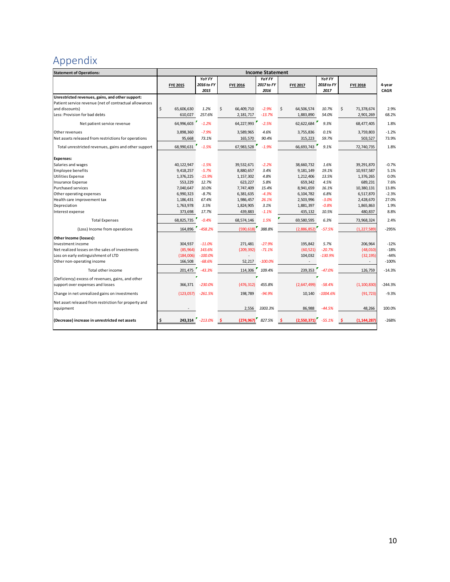## <span id="page-10-0"></span>Appendix

| <b>Statement of Operations:</b>                                   | <b>Income Statement</b> |                 |                    |            |                                      |            |                  |           |  |
|-------------------------------------------------------------------|-------------------------|-----------------|--------------------|------------|--------------------------------------|------------|------------------|-----------|--|
|                                                                   |                         | YOY FY          |                    | YOY FY     |                                      | YOY FY     |                  |           |  |
|                                                                   | <b>FYE 2015</b>         | 2016 to FY      | <b>FYE 2016</b>    | 2017 to FY | <b>FYE 2017</b>                      | 2018 to FY | <b>FYE 2018</b>  | 4-year    |  |
|                                                                   |                         | 2015            |                    | 2016       |                                      | 2017       |                  | CAGR      |  |
| Unrestricted revenues, gains, and other support:                  |                         |                 |                    |            |                                      |            |                  |           |  |
| Patient service revenue (net of contractual allowances            |                         |                 |                    |            |                                      |            |                  |           |  |
| and discounts)                                                    | Ś<br>65.606.630         | 1.2%            | \$<br>66,409,710   | $-2.9%$    | \$<br>64,506,574                     | 10.7%      | \$<br>71,378,674 | 2.9%      |  |
| Less: Provision for bad debts                                     | 610,027                 | 257.6%          | 2,181,717          | $-13.7%$   | 1,883,890                            | 54.0%      | 2,901,269        | 68.2%     |  |
| Net patient service revenue                                       | 64,996,603              | $-1.2%$         | 64,227,993         | $-2.5%$    | 62,622,684                           | 9.3%       | 68,477,405       | 1.8%      |  |
| Other revenues                                                    | 3,898,360               | $-7.9%$         | 3,589,965          | 4.6%       | 3,755,836                            | 0.1%       | 3,759,803        | $-1.2%$   |  |
| Net assets released from restrictions for operations              | 95,668                  | 73.1%           | 165,570            | 90.4%      | 315,223                              | 59.7%      | 503,527          | 73.9%     |  |
| Total unrestricted revenues, gains and other support              | 68.990.631              | $-1.5%$         | 67,983,528         | $-1.9%$    | 66.693.743                           | 9.1%       | 72,740,735       | 1.8%      |  |
| <b>Expenses:</b>                                                  |                         |                 |                    |            |                                      |            |                  |           |  |
| Salaries and wages                                                | 40,122,947              | $-1.5%$         | 39,532,671         | $-2.2%$    | 38,660,732                           | 1.6%       | 39,291,870       | $-0.7%$   |  |
| <b>Employee benefits</b>                                          | 9,418,257               | $-5.7%$         | 8,880,657          | 3.4%       | 9,181,149                            | 19.1%      | 10,937,587       | 5.1%      |  |
| <b>Utilities Expense</b>                                          | 1,376,225               | $-15.9%$        | 1,157,302          | 4.8%       | 1,212,406                            | 13.5%      | 1,376,265        | 0.0%      |  |
| Insurance Expense                                                 | 553,229                 | 12.7%           | 623,227            | 5.8%       | 659,342                              | 4.5%       | 689,231          | 7.6%      |  |
| Purchased services                                                | 7,040,647               | 10.0%           | 7,747,409          | 15.4%      | 8,941,659                            | 16.1%      | 10,380,131       | 13.8%     |  |
| Other operating expenses                                          | 6,990,323               | $-8.7%$         | 6,381,635          | $-4.3%$    | 6,104,782                            | 6.8%       | 6,517,870        | $-2.3%$   |  |
| Health care improvement tax                                       | 1,186,431               | 67.4%           | 1,986,457          | 26.1%      | 2,503,996                            | $-3.0%$    | 2,428,670        | 27.0%     |  |
| Depreciation                                                      | 1,763,978               | 3.5%            | 1,824,905          | 3.1%       | 1,881,397                            | $-0.8%$    | 1,865,863        | 1.9%      |  |
| Interest expense                                                  | 373,698                 | 17.7%           | 439,883            | $-1.1%$    | 435,132                              | 10.5%      | 480,837          | 8.8%      |  |
| <b>Total Expenses</b>                                             | 68,825,735              | $-0.4%$         | 68,574,146         | 1.5%       | 69,580,595                           | 6.3%       | 73,968,324       | 2.4%      |  |
| (Loss) Income from operations                                     | 164,896                 | $-458.2%$       | (590, 618)         | 388.8%     | (2,886,852)                          | $-57.5%$   | (1, 227, 589)    | $-295%$   |  |
| Other Income (losses):                                            |                         |                 |                    |            |                                      |            |                  |           |  |
| Investment income                                                 | 304,937                 | $-11.0%$        | 271,481            | $-27.9%$   | 195,842                              | 5.7%       | 206.964          | $-12%$    |  |
| Net realized losses on the sales of investments                   | (85,964)                | 143.6%          | (209, 392)         | $-71.1%$   | (60, 521)                            | $-20.7%$   | (48,010)         | $-18%$    |  |
| Loss on early extinguishment of LTD                               | (184,006)               | $-100.0%$       |                    |            | 104,032                              | $-130.9%$  | (32, 195)        | $-44%$    |  |
| Other non-operating income                                        | 166,508                 | $-68.6%$        | 52,217             | $-100.0%$  | $\overline{\phantom{a}}$             |            |                  | $-100%$   |  |
| Total other income                                                | 201,475                 | $-43.3%$        | 114,306            | 109.4%     | 239,353                              | $-47.0%$   | 126,759          | $-14.3%$  |  |
| (Deficiency) excess of revenues, gains, and other                 |                         |                 |                    |            |                                      |            |                  |           |  |
| support over expenses and losses                                  | 366,371                 | $-230.0\%$      | (476, 312)         | 455.8%     | (2,647,499)                          | $-58.4%$   | (1, 100, 830)    | $-244.3%$ |  |
| Change in net unrealized gains on investments                     | (123,057)               | $-261.5%$       | 198,789            | $-94.9%$   | 10,140                               | $-1004.6%$ | (91, 723)        | $-9.3%$   |  |
| Net asset released from restriction for property and<br>equipment |                         |                 | 2,556              | 3303.3%    | 86,988                               | $-44.5%$   | 48,266           | 100.0%    |  |
| (Decrease) increase in unrestricted net assets                    | \$                      | 243.314 -213.0% | (274, 967)<br>- \$ | 827.5%     | $(2,550,371)$ -55.1%<br>$\mathsf{s}$ |            | (1, 144, 287)    | $-268%$   |  |